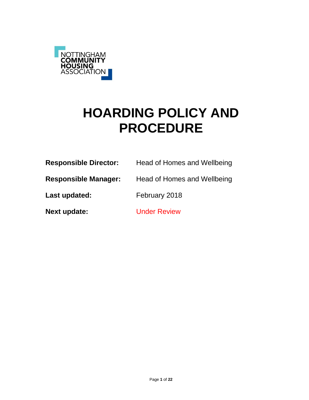

# **HOARDING POLICY AND PROCEDURE**

| <b>Responsible Director:</b> | Head of Homes and Wellbeing |
|------------------------------|-----------------------------|
| <b>Responsible Manager:</b>  | Head of Homes and Wellbeing |
| Last updated:                | February 2018               |
| Next update:                 | <b>Under Review</b>         |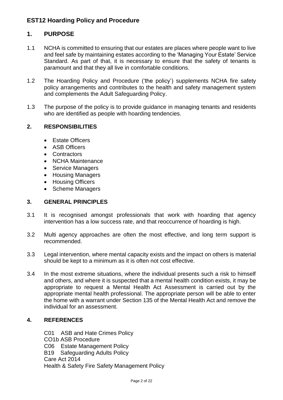# **1. PURPOSE**

- 1.1 NCHA is committed to ensuring that our estates are places where people want to live and feel safe by maintaining estates according to the 'Managing Your Estate' Service Standard. As part of that, it is necessary to ensure that the safety of tenants is paramount and that they all live in comfortable conditions.
- 1.2 The Hoarding Policy and Procedure ('the policy') supplements NCHA fire safety policy arrangements and contributes to the health and safety management system and complements the Adult Safeguarding Policy.
- 1.3 The purpose of the policy is to provide guidance in managing tenants and residents who are identified as people with hoarding tendencies.

### **2. RESPONSIBILITIES**

- Estate Officers
- ASB Officers
- Contractors
- NCHA Maintenance
- Service Managers
- Housing Managers
- Housing Officers
- Scheme Managers

### **3. GENERAL PRINCIPLES**

- 3.1 It is recognised amongst professionals that work with hoarding that agency intervention has a low success rate, and that reoccurrence of hoarding is high.
- 3.2 Multi agency approaches are often the most effective, and long term support is recommended.
- 3.3 Legal intervention, where mental capacity exists and the impact on others is material should be kept to a minimum as it is often not cost effective.
- 3.4 In the most extreme situations, where the individual presents such a risk to himself and others, and where it is suspected that a mental health condition exists, it may be appropriate to request a Mental Health Act Assessment is carried out by the appropriate mental health professional. The appropriate person will be able to enter the home with a warrant under Section 135 of the Mental Health Act and remove the individual for an assessment.

### **4. REFERENCES**

C01 ASB and Hate Crimes Policy CO1b ASB Procedure C06 Estate Management Policy B19 Safeguarding Adults Policy Care Act 2014 Health & Safety Fire Safety Management Policy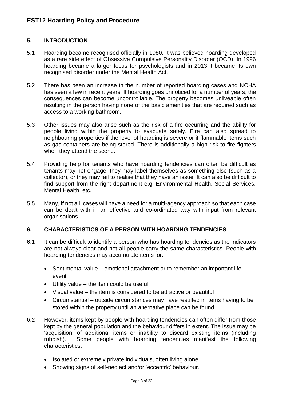### **5. INTRODUCTION**

- 5.1 Hoarding became recognised officially in 1980. It was believed hoarding developed as a rare side effect of Obsessive Compulsive Personality Disorder (OCD). In 1996 hoarding became a larger focus for psychologists and in 2013 it became its own recognised disorder under the Mental Health Act.
- 5.2 There has been an increase in the number of reported hoarding cases and NCHA has seen a few in recent years. If hoarding goes unnoticed for a number of years, the consequences can become uncontrollable. The property becomes unliveable often resulting in the person having none of the basic amenities that are required such as access to a working bathroom.
- 5.3 Other issues may also arise such as the risk of a fire occurring and the ability for people living within the property to evacuate safely. Fire can also spread to neighbouring properties if the level of hoarding is severe or if flammable items such as gas containers are being stored. There is additionally a high risk to fire fighters when they attend the scene.
- 5.4 Providing help for tenants who have hoarding tendencies can often be difficult as tenants may not engage, they may label themselves as something else (such as a collector), or they may fail to realise that they have an issue. It can also be difficult to find support from the right department e.g. Environmental Health, Social Services, Mental Health, etc.
- 5.5 Many, if not all, cases will have a need for a multi-agency approach so that each case can be dealt with in an effective and co-ordinated way with input from relevant organisations.

### **6. CHARACTERISTICS OF A PERSON WITH HOARDING TENDENCIES**

- 6.1 It can be difficult to identify a person who has hoarding tendencies as the indicators are not always clear and not all people carry the same characteristics. People with hoarding tendencies may accumulate items for:
	- Sentimental value emotional attachment or to remember an important life event
	- Utility value the item could be useful
	- Visual value the item is considered to be attractive or beautiful
	- Circumstantial outside circumstances may have resulted in items having to be stored within the property until an alternative place can be found
- 6.2 However, items kept by people with hoarding tendencies can often differ from those kept by the general population and the behaviour differs in extent. The issue may be 'acquisition' of additional items or inability to discard existing items (including rubbish). Some people with hoarding tendencies manifest the following characteristics:
	- Isolated or extremely private individuals, often living alone.
	- Showing signs of self-neglect and/or 'eccentric' behaviour.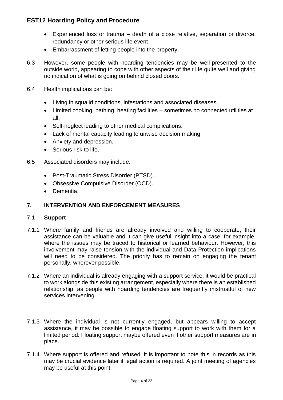- Experienced loss or trauma death of a close relative, separation or divorce, redundancy or other serious life event.
- Embarrassment of letting people into the property.
- 6.3 However, some people with hoarding tendencies may be well-presented to the outside world, appearing to cope with other aspects of their life quite well and giving no indication of what is going on behind closed doors.
- 6.4 Health implications can be:
	- Living in squalid conditions, infestations and associated diseases.
	- Limited cooking, bathing, heating facilities sometimes no connected utilities at all.
	- Self-neglect leading to other medical complications.
	- Lack of mental capacity leading to unwise decision making.
	- Anxiety and depression.
	- Serious risk to life.
- 6.5 Associated disorders may include:
	- Post-Traumatic Stress Disorder (PTSD).
	- Obsessive Compulsive Disorder (OCD).
	- Dementia.

### **7. INTERVENTION AND ENFORCEMENT MEASURES**

### 7.1 **Support**

- 7.1.1 Where family and friends are already involved and willing to cooperate, their assistance can be valuable and it can give useful insight into a case, for example, where the issues may be traced to historical or learned behaviour. However, this involvement may raise tension with the individual and Data Protection implications will need to be considered. The priority has to remain on engaging the tenant personally, wherever possible.
- 7.1.2 Where an individual is already engaging with a support service, it would be practical to work alongside this existing arrangement, especially where there is an established relationship, as people with hoarding tendencies are frequently mistrustful of new services intervening.
- 7.1.3 Where the individual is not currently engaged, but appears willing to accept assistance, it may be possible to engage floating support to work with them for a limited period. Floating support maybe offered even if other support measures are in place.
- 7.1.4 Where support is offered and refused, it is important to note this in records as this may be crucial evidence later if legal action is required. A joint meeting of agencies may be useful at this point.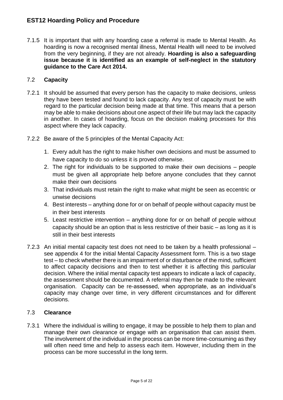7.1.5 It is important that with any hoarding case a referral is made to Mental Health. As hoarding is now a recognised mental illness, Mental Health will need to be involved from the very beginning, if they are not already. **Hoarding is also a safeguarding issue because it is identified as an example of self-neglect in the statutory guidance to the Care Act 2014.**

### 7.2 **Capacity**

- 7.2.1 It should be assumed that every person has the capacity to make decisions, unless they have been tested and found to lack capacity. Any test of capacity must be with regard to the particular decision being made at that time. This means that a person may be able to make decisions about one aspect of their life but may lack the capacity in another. In cases of hoarding, focus on the decision making processes for this aspect where they lack capacity.
- 7.2.2 Be aware of the 5 principles of the Mental Capacity Act:
	- 1. Every adult has the right to make his/her own decisions and must be assumed to have capacity to do so unless it is proved otherwise.
	- 2. The right for individuals to be supported to make their own decisions people must be given all appropriate help before anyone concludes that they cannot make their own decisions
	- 3. That individuals must retain the right to make what might be seen as eccentric or unwise decisions
	- 4. Best interests anything done for or on behalf of people without capacity must be in their best interests
	- 5. Least restrictive intervention anything done for or on behalf of people without capacity should be an option that is less restrictive of their basic – as long as it is still in their best interests
- 7.2.3 An initial mental capacity test does not need to be taken by a health professional see appendix 4 for the initial Mental Capacity Assessment form. This is a two stage test – to check whether there is an impairment of or disturbance of the mind, sufficient to affect capacity decisions and then to test whether it is affecting this particular decision. Where the initial mental capacity test appears to indicate a lack of capacity, the assessment should be documented. A referral may then be made to the relevant organisation. Capacity can be re-assessed, when appropriate, as an individual's capacity may change over time, in very different circumstances and for different decisions.

### 7.3 **Clearance**

7.3.1 Where the individual is willing to engage, it may be possible to help them to plan and manage their own clearance or engage with an organisation that can assist them. The involvement of the individual in the process can be more time-consuming as they will often need time and help to assess each item. However, including them in the process can be more successful in the long term.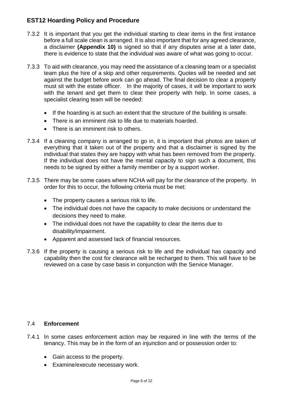- 7.3.2 It is important that you get the individual starting to clear items in the first instance before a full scale clean is arranged. It is also important that for any agreed clearance, a disclaimer **(Appendix 10)** is signed so that if any disputes arise at a later date, there is evidence to state that the individual was aware of what was going to occur.
- 7.3.3 To aid with clearance, you may need the assistance of a cleaning team or a specialist team plus the hire of a skip and other requirements. Quotes will be needed and set against the budget before work can go ahead. The final decision to clear a property must sit with the estate officer. In the majority of cases, it will be important to work with the tenant and get them to clear their property with help. In some cases, a specialist clearing team will be needed:
	- If the hoarding is at such an extent that the structure of the building is unsafe.
	- There is an imminent risk to life due to materials hoarded.
	- There is an imminent risk to others.
- 7.3.4 If a cleaning company is arranged to go in, it is important that photos are taken of everything that it taken out of the property and that a disclaimer is signed by the individual that states they are happy with what has been removed from the property. If the individual does not have the mental capacity to sign such a document, this needs to be signed by either a family member or by a support worker.
- 7.3.5 There may be some cases where NCHA will pay for the clearance of the property. In order for this to occur, the following criteria must be met:
	- The property causes a serious risk to life.
	- The individual does not have the capacity to make decisions or understand the decisions they need to make.
	- The individual does not have the capability to clear the items due to disability/impairment.
	- Apparent and assessed lack of financial resources.
- 7.3.6 If the property is causing a serious risk to life and the individual has capacity and capability then the cost for clearance will be recharged to them. This will have to be reviewed on a case by case basis in conjunction with the Service Manager.

### 7.4 **Enforcement**

- 7.4.1 In some cases enforcement action may be required in line with the terms of the tenancy. This may be in the form of an injunction and or possession order to:
	- Gain access to the property.
	- Examine/execute necessary work.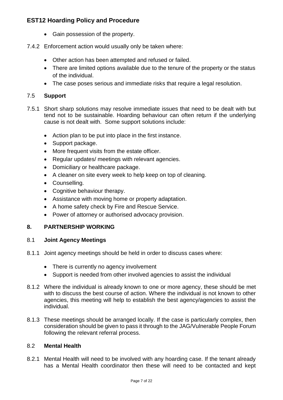- Gain possession of the property.
- 7.4.2 Enforcement action would usually only be taken where:
	- Other action has been attempted and refused or failed.
	- There are limited options available due to the tenure of the property or the status of the individual.
	- The case poses serious and immediate risks that require a legal resolution.

### 7.5 **Support**

- 7.5.1 Short sharp solutions may resolve immediate issues that need to be dealt with but tend not to be sustainable. Hoarding behaviour can often return if the underlying cause is not dealt with. Some support solutions include:
	- Action plan to be put into place in the first instance.
	- Support package.
	- More frequent visits from the estate officer.
	- Regular updates/ meetings with relevant agencies.
	- Domiciliary or healthcare package.
	- A cleaner on site every week to help keep on top of cleaning.
	- Counselling.
	- Cognitive behaviour therapy.
	- Assistance with moving home or property adaptation.
	- A home safety check by Fire and Rescue Service.
	- Power of attorney or authorised advocacy provision.

### **8. PARTNERSHIP WORKING**

### 8.1 **Joint Agency Meetings**

- 8.1.1 Joint agency meetings should be held in order to discuss cases where:
	- There is currently no agency involvement
	- Support is needed from other involved agencies to assist the individual
- 8.1.2 Where the individual is already known to one or more agency, these should be met with to discuss the best course of action. Where the individual is not known to other agencies, this meeting will help to establish the best agency/agencies to assist the individual.
- 8.1.3 These meetings should be arranged locally. If the case is particularly complex, then consideration should be given to pass it through to the JAG/Vulnerable People Forum following the relevant referral process.

### 8.2 **Mental Health**

8.2.1 Mental Health will need to be involved with any hoarding case. If the tenant already has a Mental Health coordinator then these will need to be contacted and kept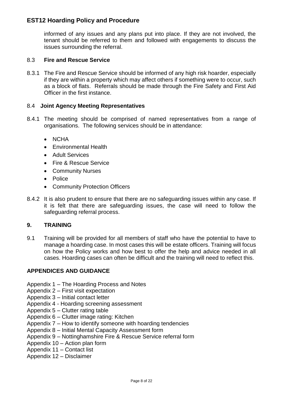informed of any issues and any plans put into place. If they are not involved, the tenant should be referred to them and followed with engagements to discuss the issues surrounding the referral.

### 8.3 **Fire and Rescue Service**

8.3.1 The Fire and Rescue Service should be informed of any high risk hoarder, especially if they are within a property which may affect others if something were to occur, such as a block of flats. Referrals should be made through the Fire Safety and First Aid Officer in the first instance.

### 8.4 **Joint Agency Meeting Representatives**

- 8.4.1 The meeting should be comprised of named representatives from a range of organisations. The following services should be in attendance:
	- NCHA
	- Environmental Health
	- Adult Services
	- Fire & Rescue Service
	- Community Nurses
	- Police
	- Community Protection Officers
- 8.4.2 It is also prudent to ensure that there are no safeguarding issues within any case. If it is felt that there are safeguarding issues, the case will need to follow the safeguarding referral process.

### **9. TRAINING**

9.1 Training will be provided for all members of staff who have the potential to have to manage a hoarding case. In most cases this will be estate officers. Training will focus on how the Policy works and how best to offer the help and advice needed in all cases. Hoarding cases can often be difficult and the training will need to reflect this.

### **APPENDICES AND GUIDANCE**

- Appendix 1 The Hoarding Process and Notes
- Appendix 2 First visit expectation
- Appendix 3 Initial contact letter
- Appendix 4 Hoarding screening assessment
- Appendix 5 Clutter rating table
- Appendix 6 Clutter image rating: Kitchen
- Appendix 7 How to identify someone with hoarding tendencies
- Appendix 8 Initial Mental Capacity Assessment form
- Appendix 9 Nottinghamshire Fire & Rescue Service referral form
- Appendix 10 Action plan form
- Appendix 11 Contact list
- Appendix 12 Disclaimer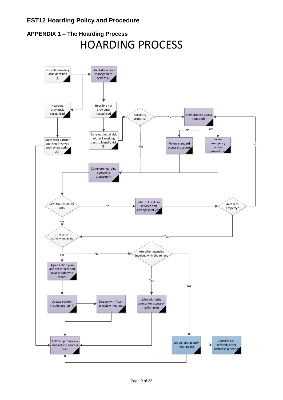

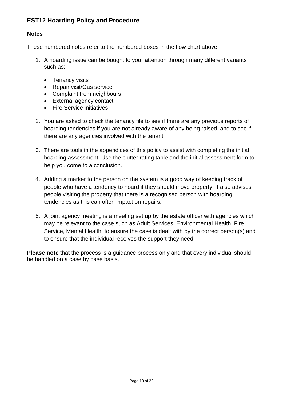### **Notes**

These numbered notes refer to the numbered boxes in the flow chart above:

- 1. A hoarding issue can be bought to your attention through many different variants such as:
	- Tenancy visits
	- Repair visit/Gas service
	- Complaint from neighbours
	- External agency contact
	- **•** Fire Service initiatives
- 2. You are asked to check the tenancy file to see if there are any previous reports of hoarding tendencies if you are not already aware of any being raised, and to see if there are any agencies involved with the tenant.
- 3. There are tools in the appendices of this policy to assist with completing the initial hoarding assessment. Use the clutter rating table and the initial assessment form to help you come to a conclusion.
- 4. Adding a marker to the person on the system is a good way of keeping track of people who have a tendency to hoard if they should move property. It also advises people visiting the property that there is a recognised person with hoarding tendencies as this can often impact on repairs.
- 5. A joint agency meeting is a meeting set up by the estate officer with agencies which may be relevant to the case such as Adult Services, Environmental Health, Fire Service, Mental Health, to ensure the case is dealt with by the correct person(s) and to ensure that the individual receives the support they need.

**Please note** that the process is a guidance process only and that every individual should be handled on a case by case basis.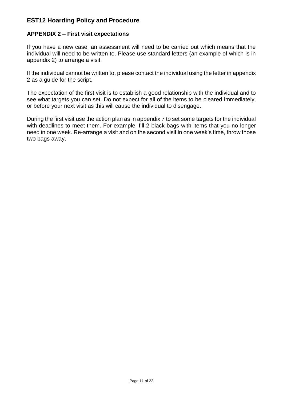### **APPENDIX 2 – First visit expectations**

If you have a new case, an assessment will need to be carried out which means that the individual will need to be written to. Please use standard letters (an example of which is in appendix 2) to arrange a visit.

If the individual cannot be written to, please contact the individual using the letter in appendix 2 as a guide for the script.

The expectation of the first visit is to establish a good relationship with the individual and to see what targets you can set. Do not expect for all of the items to be cleared immediately, or before your next visit as this will cause the individual to disengage.

During the first visit use the action plan as in appendix 7 to set some targets for the individual with deadlines to meet them. For example, fill 2 black bags with items that you no longer need in one week. Re-arrange a visit and on the second visit in one week's time, throw those two bags away.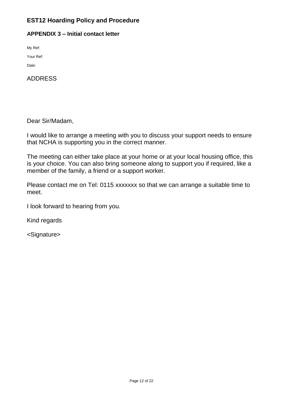### **APPENDIX 3 – Initial contact letter**

My Ref:

Your Ref:

Date:

ADDRESS

Dear Sir/Madam,

I would like to arrange a meeting with you to discuss your support needs to ensure that NCHA is supporting you in the correct manner.

The meeting can either take place at your home or at your local housing office, this is your choice. You can also bring someone along to support you if required, like a member of the family, a friend or a support worker.

Please contact me on Tel: 0115 xxxxxxx so that we can arrange a suitable time to meet.

I look forward to hearing from you.

Kind regards

<Signature>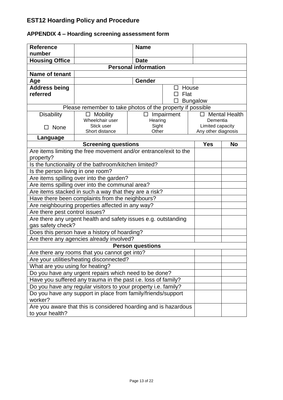#### **Reference number Name Housing Office Date Personal information Name of tenant** Age and **Age and Age and Age and Age and Age and Age and Age and Age and Age and Age and Age and Age and Age and Age and Age and Age and Age and Age and Age and Age and Age and Age and Age and Age and Age and Age and Age a Address being referred**  $\Box$  House  $\square$  Flat  $\square$  Bungalow Please remember to take photos of the property if possible **Disability** □ None □ Mobility Wheelchair user Stick user Short distance  $\square$  Impairment **Hearing** Sight **Other** □ Mental Health Dementia Limited capacity Any other diagnosis **Language Screening questions Yes No** Are items limiting the free movement and/or entrance/exit to the property? Is the functionality of the bathroom/kitchen limited? Is the person living in one room? Are items spilling over into the garden? Are items spilling over into the communal area? Are items stacked in such a way that they are a risk? Have there been complaints from the neighbours? Are neighbouring properties affected in any way? Are there pest control issues? Are there any urgent health and safety issues e.g. outstanding gas safety check? Does this person have a history of hoarding? Are there any agencies already involved? **Person questions** Are there any rooms that you cannot get into? Are your utilities/heating disconnected? What are you using for heating? Do you have any urgent repairs which need to be done? Have you suffered any trauma in the past i.e. loss of family? Do you have any regular visitors to your property i.e. family? Do you have any support in place from family/friends/support worker? Are you aware that this is considered hoarding and is hazardous to your health?

### **APPENDIX 4 – Hoarding screening assessment form**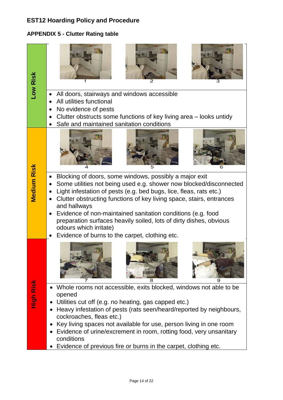### **APPENDIX 5 - Clutter Rating table**

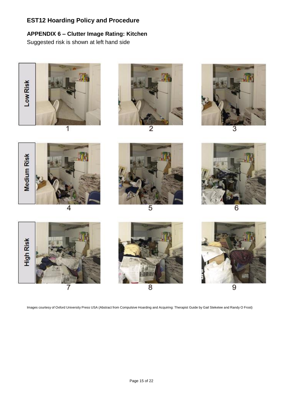# **APPENDIX 6 – Clutter Image Rating: Kitchen**

Suggested risk is shown at left hand side













5



6







Images courtesy of Oxford University Press USA (Abstract from Compulsive Hoarding and Acquiring: Therapist Guide by Gail Steketee and Randy O Frost)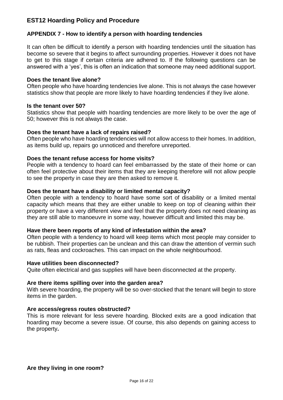### **APPENDIX 7 - How to identify a person with hoarding tendencies**

It can often be difficult to identify a person with hoarding tendencies until the situation has become so severe that it begins to affect surrounding properties. However it does not have to get to this stage if certain criteria are adhered to. If the following questions can be answered with a 'yes', this is often an indication that someone may need additional support.

### **Does the tenant live alone?**

Often people who have hoarding tendencies live alone. This is not always the case however statistics show that people are more likely to have hoarding tendencies if they live alone.

### **Is the tenant over 50?**

Statistics show that people with hoarding tendencies are more likely to be over the age of 50; however this is not always the case.

### **Does the tenant have a lack of repairs raised?**

Often people who have hoarding tendencies will not allow access to their homes. In addition, as items build up, repairs go unnoticed and therefore unreported.

### **Does the tenant refuse access for home visits?**

People with a tendency to hoard can feel embarrassed by the state of their home or can often feel protective about their items that they are keeping therefore will not allow people to see the property in case they are then asked to remove it.

### **Does the tenant have a disability or limited mental capacity?**

Often people with a tendency to hoard have some sort of disability or a limited mental capacity which means that they are either unable to keep on top of cleaning within their property or have a very different view and feel that the property does not need cleaning as they are still able to manoeuvre in some way, however difficult and limited this may be.

### **Have there been reports of any kind of infestation within the area?**

Often people with a tendency to hoard will keep items which most people may consider to be rubbish. Their properties can be unclean and this can draw the attention of vermin such as rats, fleas and cockroaches. This can impact on the whole neighbourhood.

### **Have utilities been disconnected?**

Quite often electrical and gas supplies will have been disconnected at the property.

### **Are there items spilling over into the garden area?**

With severe hoarding, the property will be so over-stocked that the tenant will begin to store items in the garden.

### **Are access/egress routes obstructed?**

This is more relevant for less severe hoarding. Blocked exits are a good indication that hoarding may become a severe issue. Of course, this also depends on gaining access to the property**.**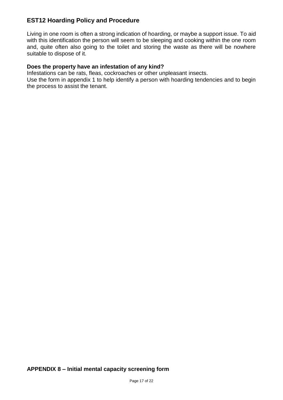Living in one room is often a strong indication of hoarding, or maybe a support issue. To aid with this identification the person will seem to be sleeping and cooking within the one room and, quite often also going to the toilet and storing the waste as there will be nowhere suitable to dispose of it.

### **Does the property have an infestation of any kind?**

Infestations can be rats, fleas, cockroaches or other unpleasant insects. Use the form in appendix 1 to help identify a person with hoarding tendencies and to begin the process to assist the tenant.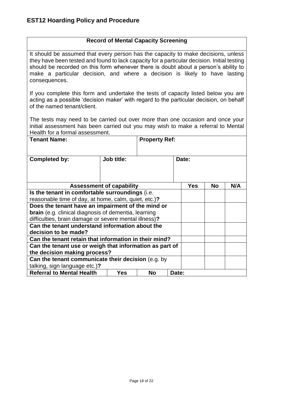### **Record of Mental Capacity Screening**

It should be assumed that every person has the capacity to make decisions, unless they have been tested and found to lack capacity for a particular decision. Initial testing should be recorded on this form whenever there is doubt about a person's ability to make a particular decision, and where a decision is likely to have lasting consequences.

If you complete this form and undertake the tests of capacity listed below you are acting as a possible 'decision maker' with regard to the particular decision, on behalf of the named tenant/client.

The tests may need to be carried out over more than one occasion and once your initial assessment has been carried out you may wish to make a referral to Mental Health for a formal assessment.

| <b>Tenant Name:</b>                                     |                                 | <b>Property Ref:</b> |       |            |    |     |
|---------------------------------------------------------|---------------------------------|----------------------|-------|------------|----|-----|
| <b>Completed by:</b>                                    | <b>Job title:</b>               |                      |       | Date:      |    |     |
|                                                         | <b>Assessment of capability</b> |                      |       | <b>Yes</b> | No | N/A |
| Is the tenant in comfortable surroundings (i.e.         |                                 |                      |       |            |    |     |
| reasonable time of day, at home, calm, quiet, etc.)?    |                                 |                      |       |            |    |     |
| Does the tenant have an impairment of the mind or       |                                 |                      |       |            |    |     |
| brain (e.g. clinical diagnosis of dementia, learning    |                                 |                      |       |            |    |     |
| difficulties, brain damage or severe mental illness)?   |                                 |                      |       |            |    |     |
| Can the tenant understand information about the         |                                 |                      |       |            |    |     |
| decision to be made?                                    |                                 |                      |       |            |    |     |
| Can the tenant retain that information in their mind?   |                                 |                      |       |            |    |     |
| Can the tenant use or weigh that information as part of |                                 |                      |       |            |    |     |
| the decision making process?                            |                                 |                      |       |            |    |     |
| Can the tenant communicate their decision (e.g. by      |                                 |                      |       |            |    |     |
| talking, sign language etc.)?                           |                                 |                      |       |            |    |     |
| <b>Referral to Mental Health</b>                        | Yes                             | <b>No</b>            | Date: |            |    |     |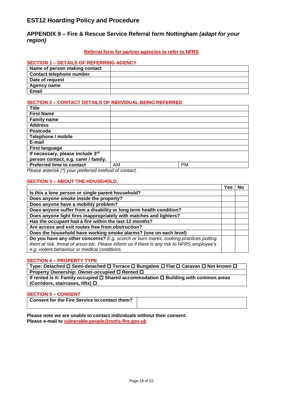### **APPENDIX 9 – Fire & Rescue Service Referral form Nottingham** *(adapt for your region)*

#### **Referral form for partner agencies to refer to NFRS**

#### **SECTION 1 – DETAILS OF REFERRING AGENCY**

| Name of person making contact   |  |
|---------------------------------|--|
| <b>Contact telephone number</b> |  |
| Date of request                 |  |
| <b>Agency name</b>              |  |
| <b>Email</b>                    |  |

### **SECTION 2 – CONTACT DETAILS OF INDIVIDUAL BEING REFERRED**

| Title                                                                               |    |           |
|-------------------------------------------------------------------------------------|----|-----------|
| <b>First Name</b>                                                                   |    |           |
| <b>Family name</b>                                                                  |    |           |
| <b>Address</b>                                                                      |    |           |
| <b>Postcode</b>                                                                     |    |           |
| Telephone / mobile                                                                  |    |           |
| E-mail                                                                              |    |           |
| <b>First language</b>                                                               |    |           |
| If necessary, please include 3rd                                                    |    |           |
| person contact, e.g. carer / family.                                                |    |           |
| <b>Preferred time to contact</b>                                                    | AM | <b>PM</b> |
| $D$ lagan patarial $\epsilon$ (*) $\epsilon$ is professed mathematical and protocle |    |           |

*Please asterisk (\*) your preferred method of contact.*

#### **SECTION 3 – ABOUT THE HOUSEHOLD.**

|                                                                                             | Yes | No |
|---------------------------------------------------------------------------------------------|-----|----|
| Is this a lone person or single parent household?                                           |     |    |
| Does anyone smoke inside the property?                                                      |     |    |
| Does anyone have a mobility problem?                                                        |     |    |
| Does anyone suffer from a disability or long term health condition?                         |     |    |
| Does anyone light fires inappropriately with matches and lighters?                          |     |    |
| Has the occupant had a fire within the last 12 months?                                      |     |    |
| Are access and exit routes free from obstruction?                                           |     |    |
| Does the household have working smoke alarms? (one on each level)                           |     |    |
| Do you have any other concerns? E.g. scorch or burn marks, cooking practices putting        |     |    |
| them at risk, threat of arson etc. Please inform us if there is any risk to NFRS employee's |     |    |
| e.g. violent behaviour or medical conditions.                                               |     |    |

#### **SECTION 4 – PROPERTY TYPE**

**Type: Detached □ Semi-detached □ Terrace □ Bungalow □ Flat □ Caravan □ Not known □ Property Ownership: Owner-occupied □ Rented □** 

**If rented is it: Family occupied □ Shared accommodation □ Building with common areas (Corridors, staircases, lifts)** 

#### **SECTION 5 – CONSENT**

**Please note we are unable to contact individuals without their consent. Please e-mail to [vulnerable.people@notts-fire.gov.uk](mailto:vulnerable.people@notts-fire.gov.uk)**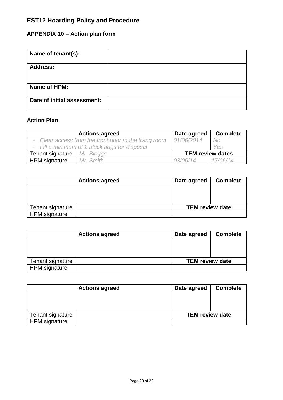# **APPENDIX 10 – Action plan form**

| Name of tenant(s):          |  |
|-----------------------------|--|
| <b>Address:</b>             |  |
| Name of HPM:                |  |
| Date of initial assessment: |  |

# **Action Plan**

|                      | <b>Actions agreed</b>                                 | Date agreed             | <b>Complete</b> |
|----------------------|-------------------------------------------------------|-------------------------|-----------------|
|                      | - Clear access from the front door to the living room | 01/06/2014              | No              |
|                      | - Fill a minimum of 2 black bags for disposal         |                         | Yes             |
| Tenant signature     | Mr. Bloggs                                            | <b>TEM review dates</b> |                 |
| <b>HPM</b> signature | Mr. Smith                                             | 03/06/14                | 17/06/14        |

| <b>Actions agreed</b> | Date agreed            | <b>Complete</b> |
|-----------------------|------------------------|-----------------|
|                       |                        |                 |
|                       |                        |                 |
|                       |                        |                 |
| Tenant signature      | <b>TEM review date</b> |                 |
| <b>HPM</b> signature  |                        |                 |

| <b>Actions agreed</b> | Date agreed            | <b>Complete</b> |
|-----------------------|------------------------|-----------------|
|                       |                        |                 |
|                       |                        |                 |
|                       |                        |                 |
| Tenant signature      | <b>TEM review date</b> |                 |
| <b>HPM</b> signature  |                        |                 |

| <b>Actions agreed</b> | Date agreed            | <b>Complete</b> |
|-----------------------|------------------------|-----------------|
|                       |                        |                 |
|                       |                        |                 |
|                       |                        |                 |
| Tenant signature      | <b>TEM review date</b> |                 |
| <b>HPM</b> signature  |                        |                 |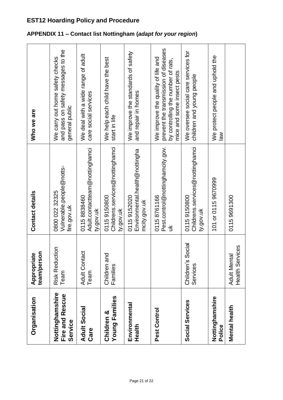| Organisation                                  | team/person<br>Appropriate                    | Contact details                                               | Who we are                                                                                                                                     |
|-----------------------------------------------|-----------------------------------------------|---------------------------------------------------------------|------------------------------------------------------------------------------------------------------------------------------------------------|
| Nottinghamshire<br>Fire and Rescue<br>Service | <b>Risk Reduction</b><br>Team                 | Vulnerable.people@notts-<br>0800 022 32325<br>fire.gov.uk     | and pass on safety messages to the<br>We carry out home safety checks<br>general public                                                        |
| <b>Adult Social</b><br>Care                   | <b>Adult Contact</b><br>Team                  | Adult.contactteam@nottinghamci<br>01158838460<br>ty.gov.uk    | We deal with a wide range of adult<br>care social services                                                                                     |
| <b>Young Families</b><br>Children &           | ᅙ<br>Children a<br>Families                   | Childrens.services@nottinghamci<br>01159150800<br>ty.gov.uk   | We help each child have the best<br>start in life                                                                                              |
| Environmental<br>Health                       |                                               | Environmental.health@nottingha<br>01159152020<br>mcity.gov.uk | We improve the standards of safety<br>and repair in homes                                                                                      |
| Pest Control                                  |                                               | Pest.control@nottinghamcity.gov.<br>01158761166<br>$\leq$     | prevent the transmission of diseases<br>We improve the quality of life and<br>by controlling the number of rats,<br>mice and some insect pests |
| Social Services                               | Social<br>Children's<br>Services              | Childrens.services@nottinghamci<br>01159150800<br>ty.gov.uk   | We oversee social care services for<br>children and young people                                                                               |
| Nottinghamshire<br>Police                     |                                               | 101 or 0115 9670999                                           | We protect people and uphold the<br>$\frac{8}{10}$                                                                                             |
| Mental health                                 | <b>Health Services</b><br><b>Adult Mental</b> | 01159691300                                                   |                                                                                                                                                |

# **APPENDIX 11 – Contact list Nottingham (***adapt for your region***)**